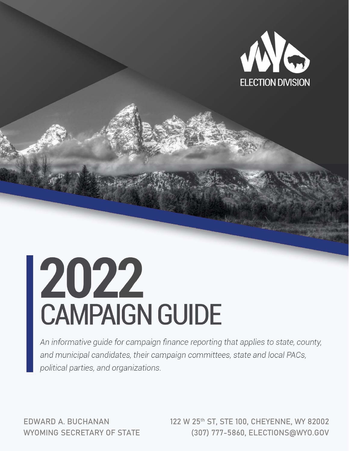

# 2022<br>CAMPAIGN GUIDE

An informative guide for campaign finance reporting that applies to state, county, and municipal candidates, their campaign committees, state and local PACs, political parties, and organizations.

EDWARD A. BUCHANAN WYOMING SECRETARY OF STATE 122 W 25th ST, STE 100, CHEYENNE, WY 82002 (307) 777-5860, ELECTIONS@WYO.GOV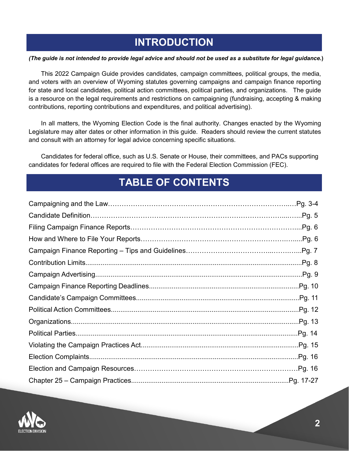## **INTRODUCTION**

#### *(The guide is not intended to provide legal advice and should not be used as a substitute for legal guidance.***)**

This 2022 Campaign Guide provides candidates, campaign committees, political groups, the media, and voters with an overview of Wyoming statutes governing campaigns and campaign finance reporting for state and local candidates, political action committees, political parties, and organizations. The guide is a resource on the legal requirements and restrictions on campaigning (fundraising, accepting & making contributions, reporting contributions and expenditures, and political advertising).

In all matters, the Wyoming Election Code is the final authority. Changes enacted by the Wyoming Legislature may alter dates or other information in this guide. Readers should review the current statutes and consult with an attorney for legal advice concerning specific situations.

Candidates for federal office, such as U.S. Senate or House, their committees, and PACs supporting candidates for federal offices are required to file with the Federal Election Commission (FEC).

## **TABLE OF CONTENTS**

| Pg.6    |
|---------|
| Pg. 6   |
| .Pg. 7  |
| Pg. 8   |
| .Pg. 9  |
| Pg. 10  |
| Pg. 11  |
| Pg. 12  |
| Pg. 13  |
| .Pg. 14 |
|         |
| Pg. 16  |
|         |
|         |

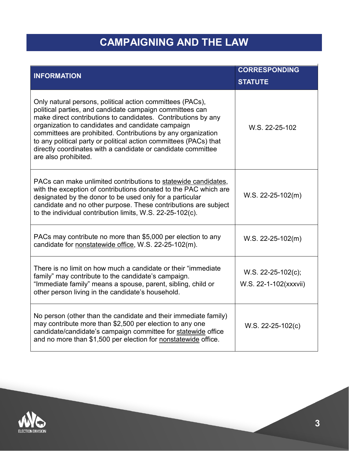# **CAMPAIGNING AND THE LAW**

| <b>INFORMATION</b>                                                                                                                                                                                                                                                                                                                                                                                                                                                       | <b>CORRESPONDING</b>                        |  |  |
|--------------------------------------------------------------------------------------------------------------------------------------------------------------------------------------------------------------------------------------------------------------------------------------------------------------------------------------------------------------------------------------------------------------------------------------------------------------------------|---------------------------------------------|--|--|
|                                                                                                                                                                                                                                                                                                                                                                                                                                                                          | <b>STATUTE</b>                              |  |  |
| Only natural persons, political action committees (PACs),<br>political parties, and candidate campaign committees can<br>make direct contributions to candidates. Contributions by any<br>organization to candidates and candidate campaign<br>committees are prohibited. Contributions by any organization<br>to any political party or political action committees (PACs) that<br>directly coordinates with a candidate or candidate committee<br>are also prohibited. | W.S. 22-25-102                              |  |  |
| PACs can make unlimited contributions to statewide candidates,<br>with the exception of contributions donated to the PAC which are<br>designated by the donor to be used only for a particular<br>candidate and no other purpose. These contributions are subject<br>to the individual contribution limits, W.S. 22-25-102(c).                                                                                                                                           | $W.S. 22-25-102(m)$                         |  |  |
| PACs may contribute no more than \$5,000 per election to any<br>candidate for nonstatewide office, W.S. 22-25-102(m).                                                                                                                                                                                                                                                                                                                                                    | $W.S. 22-25-102(m)$                         |  |  |
| There is no limit on how much a candidate or their "immediate"<br>family" may contribute to the candidate's campaign.<br>"Immediate family" means a spouse, parent, sibling, child or<br>other person living in the candidate's household.                                                                                                                                                                                                                               | W.S. 22-25-102(c);<br>W.S. 22-1-102(xxxvii) |  |  |
| No person (other than the candidate and their immediate family)<br>may contribute more than \$2,500 per election to any one<br>candidate/candidate's campaign committee for statewide office<br>and no more than \$1,500 per election for nonstatewide office.                                                                                                                                                                                                           | $W.S. 22-25-102(c)$                         |  |  |

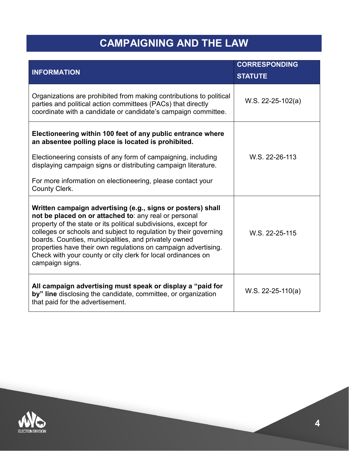# **CAMPAIGNING AND THE LAW**

|                                                                                                                                                                                                                                                                                                                                                                                                                                                                           | <b>CORRESPONDING</b> |  |
|---------------------------------------------------------------------------------------------------------------------------------------------------------------------------------------------------------------------------------------------------------------------------------------------------------------------------------------------------------------------------------------------------------------------------------------------------------------------------|----------------------|--|
| <b>INFORMATION</b>                                                                                                                                                                                                                                                                                                                                                                                                                                                        | <b>STATUTE</b>       |  |
| Organizations are prohibited from making contributions to political<br>parties and political action committees (PACs) that directly<br>coordinate with a candidate or candidate's campaign committee.                                                                                                                                                                                                                                                                     | W.S. 22-25-102(a)    |  |
| Electioneering within 100 feet of any public entrance where<br>an absentee polling place is located is prohibited.<br>Electioneering consists of any form of campaigning, including<br>displaying campaign signs or distributing campaign literature.<br>For more information on electioneering, please contact your                                                                                                                                                      | W.S. 22-26-113       |  |
| County Clerk.                                                                                                                                                                                                                                                                                                                                                                                                                                                             |                      |  |
| Written campaign advertising (e.g., signs or posters) shall<br>not be placed on or attached to: any real or personal<br>property of the state or its political subdivisions, except for<br>colleges or schools and subject to regulation by their governing<br>boards. Counties, municipalities, and privately owned<br>properties have their own regulations on campaign advertising.<br>Check with your county or city clerk for local ordinances on<br>campaign signs. | W.S. 22-25-115       |  |
| All campaign advertising must speak or display a "paid for<br>by" line disclosing the candidate, committee, or organization<br>that paid for the advertisement.                                                                                                                                                                                                                                                                                                           | $W.S. 22-25-110(a)$  |  |

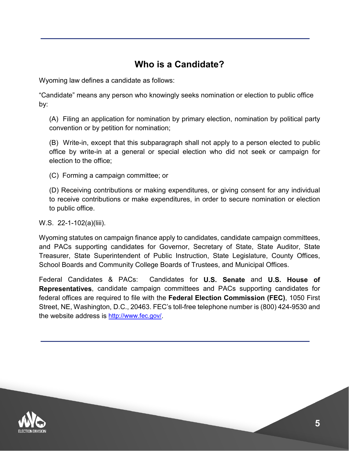## **Who is a Candidate?**

Wyoming law defines a candidate as follows:

"Candidate" means any person who knowingly seeks nomination or election to public office by:

(A) Filing an application for nomination by primary election, nomination by political party convention or by petition for nomination;

(B) Write-in, except that this subparagraph shall not apply to a person elected to public office by write-in at a general or special election who did not seek or campaign for election to the office;

(C) Forming a campaign committee; or

(D) Receiving contributions or making expenditures, or giving consent for any individual to receive contributions or make expenditures, in order to secure nomination or election to public office.

W.S. 22-1-102(a)(liii).

Wyoming statutes on campaign finance apply to candidates, candidate campaign committees, and PACs supporting candidates for Governor, Secretary of State, State Auditor, State Treasurer, State Superintendent of Public Instruction, State Legislature, County Offices, School Boards and Community College Boards of Trustees, and Municipal Offices.

Federal Candidates & PACs: Candidates for **U.S. Senate** and **U.S. House of Representatives**, candidate campaign committees and PACs supporting candidates for federal offices are required to file with the **Federal Election Commission (FEC)**, 1050 First Street, NE, Washington, D.C., 20463. FEC's toll-free telephone number is (800) 424-9530 and the website address is [http://www.fec.gov/.](http://www.fec.gov/)

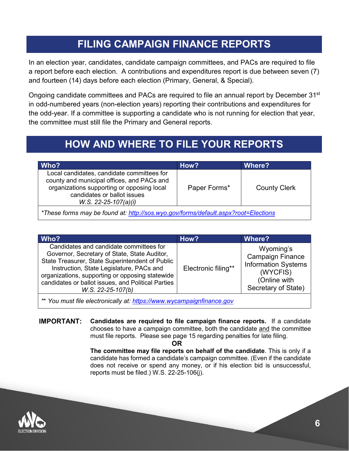## **FILING CAMPAIGN FINANCE REPORTS**

In an election year, candidates, candidate campaign committees, and PACs are required to file a report before each election. A contributions and expenditures report is due between seven (7) and fourteen (14) days before each election (Primary, General, & Special).

Ongoing candidate committees and PACs are required to file an annual report by December 31st in odd-numbered years (non-election years) reporting their contributions and expenditures for the odd-year. If a committee is supporting a candidate who is not running for election that year, the committee must still file the Primary and General reports.

# **HOW AND WHERE TO FILE YOUR REPORTS**

| Who?                                                                                                                                                                                            | How?         | Where?              |  |  |
|-------------------------------------------------------------------------------------------------------------------------------------------------------------------------------------------------|--------------|---------------------|--|--|
| Local candidates, candidate committees for<br>county and municipal offices, and PACs and<br>organizations supporting or opposing local<br>candidates or ballot issues<br>$W.S. 22-25-107(a)(i)$ | Paper Forms* | <b>County Clerk</b> |  |  |
| *These forms may be found at: http://sos.wyo.gov/forms/default.aspx?root=Elections                                                                                                              |              |                     |  |  |

| Who?                                                                                                                                                                                                                                                                                                                   | How?                | Where?                                                                                                                |  |  |  |
|------------------------------------------------------------------------------------------------------------------------------------------------------------------------------------------------------------------------------------------------------------------------------------------------------------------------|---------------------|-----------------------------------------------------------------------------------------------------------------------|--|--|--|
| Candidates and candidate committees for<br>Governor, Secretary of State, State Auditor,<br>State Treasurer, State Superintendent of Public<br>Instruction, State Legislature, PACs and<br>organizations, supporting or opposing statewide<br>candidates or ballot issues, and Political Parties<br>$W.S. 22-25-107(b)$ | Electronic filing** | Wyoming's<br><b>Campaign Finance</b><br><b>Information Systems</b><br>(WYCFIS)<br>(Online with<br>Secretary of State) |  |  |  |
| ** You must file electronically at: https://www.wycampaignfinance.gov                                                                                                                                                                                                                                                  |                     |                                                                                                                       |  |  |  |

**IMPORTANT: Candidates are required to file campaign finance reports.** If a candidate chooses to have a campaign committee, both the candidate and the committee must file reports. Please see page 15 regarding penalties for late filing.

**OR**

**The committee may file reports on behalf of the candidate**. This is only if a candidate has formed a candidate's campaign committee. (Even if the candidate does not receive or spend any money, or if his election bid is unsuccessful, reports must be filed.) W.S. 22-25-106(j).

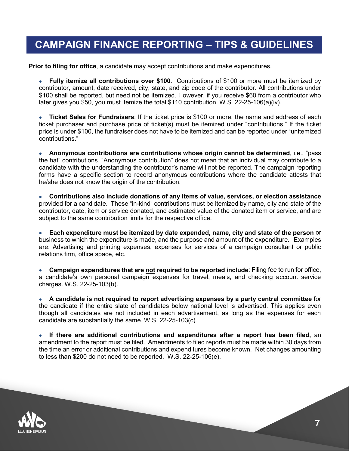## **CAMPAIGN FINANCE REPORTING – TIPS & GUIDELINES**

**Prior to filing for office**, a candidate may accept contributions and make expenditures.

• **Fully itemize all contributions over \$100**. Contributions of \$100 or more must be itemized by contributor, amount, date received, city, state, and zip code of the contributor. All contributions under \$100 shall be reported, but need not be itemized. However, if you receive \$60 from a contributor who later gives you \$50, you must itemize the total \$110 contribution. W.S. 22-25-106(a)(iv).

• **Ticket Sales for Fundraisers**: If the ticket price is \$100 or more, the name and address of each ticket purchaser and purchase price of ticket(s) must be itemized under "contributions." If the ticket price is under \$100, the fundraiser does not have to be itemized and can be reported under "unitemized contributions."

• **Anonymous contributions are contributions whose origin cannot be determined**, i.e., "pass the hat" contributions. "Anonymous contribution" does not mean that an individual may contribute to a candidate with the understanding the contributor's name will not be reported. The campaign reporting forms have a specific section to record anonymous contributions where the candidate attests that he/she does not know the origin of the contribution.

• **Contributions also include donations of any items of value, services, or election assistance** provided for a candidate. These "in-kind" contributions must be itemized by name, city and state of the contributor, date, item or service donated, and estimated value of the donated item or service, and are subject to the same contribution limits for the respective office.

• **Each expenditure must be itemized by date expended, name, city and state of the person** or business to which the expenditure is made, and the purpose and amount of the expenditure. Examples are: Advertising and printing expenses, expenses for services of a campaign consultant or public relations firm, office space, etc.

• **Campaign expenditures that are not required to be reported include**: Filing fee to run for office, a candidate's own personal campaign expenses for travel, meals, and checking account service charges. W.S. 22-25-103(b).

• **A candidate is not required to report advertising expenses by a party central committee** for the candidate if the entire slate of candidates below national level is advertised. This applies even though all candidates are not included in each advertisement, as long as the expenses for each candidate are substantially the same. W.S. 22-25-103(c).

• **If there are additional contributions and expenditures after a report has been filed,** an amendment to the report must be filed. Amendments to filed reports must be made within 30 days from the time an error or additional contributions and expenditures become known. Net changes amounting to less than \$200 do not need to be reported. W.S. 22-25-106(e).

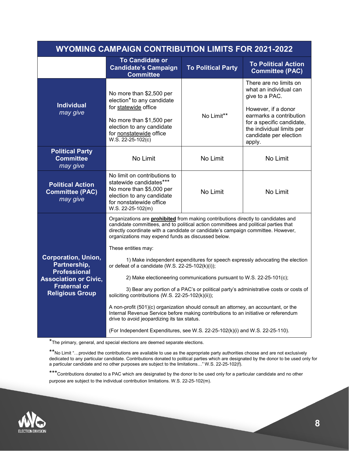| <b>WYOMING CAMPAIGN CONTRIBUTION LIMITS FOR 2021-2022</b>                                                                                          |                                                                                                                                                                                                                                                                                                                                                                                                                                                                                                                                                                                                                                                                                                            |                           |                                                                                                                                                                                                                    |  |  |
|----------------------------------------------------------------------------------------------------------------------------------------------------|------------------------------------------------------------------------------------------------------------------------------------------------------------------------------------------------------------------------------------------------------------------------------------------------------------------------------------------------------------------------------------------------------------------------------------------------------------------------------------------------------------------------------------------------------------------------------------------------------------------------------------------------------------------------------------------------------------|---------------------------|--------------------------------------------------------------------------------------------------------------------------------------------------------------------------------------------------------------------|--|--|
|                                                                                                                                                    | <b>To Candidate or</b><br><b>Candidate's Campaign</b><br><b>Committee</b>                                                                                                                                                                                                                                                                                                                                                                                                                                                                                                                                                                                                                                  | <b>To Political Party</b> | <b>To Political Action</b><br><b>Committee (PAC)</b>                                                                                                                                                               |  |  |
| <b>Individual</b><br>may give                                                                                                                      | No more than \$2,500 per<br>election <sup>*</sup> to any candidate<br>for statewide office<br>No Limit**<br>No more than \$1,500 per<br>election to any candidate<br>for nonstatewide office<br>W.S. 22-25-102(c)                                                                                                                                                                                                                                                                                                                                                                                                                                                                                          |                           | There are no limits on<br>what an individual can<br>give to a PAC.<br>However, if a donor<br>earmarks a contribution<br>for a specific candidate,<br>the individual limits per<br>candidate per election<br>apply. |  |  |
| <b>Political Party</b><br><b>Committee</b><br>may give                                                                                             | No Limit<br>No Limit                                                                                                                                                                                                                                                                                                                                                                                                                                                                                                                                                                                                                                                                                       |                           | No Limit                                                                                                                                                                                                           |  |  |
| <b>Political Action</b><br><b>Committee (PAC)</b><br>may give                                                                                      | No limit on contributions to<br>statewide candidates***<br>No more than \$5,000 per<br>election to any candidate<br>for nonstatewide office<br>W.S. 22-25-102(m)                                                                                                                                                                                                                                                                                                                                                                                                                                                                                                                                           | No Limit                  | No Limit                                                                                                                                                                                                           |  |  |
| <b>Corporation, Union,</b><br>Partnership,<br><b>Professional</b><br><b>Association or Civic,</b><br><b>Fraternal or</b><br><b>Religious Group</b> | Organizations are <b>prohibited</b> from making contributions directly to candidates and<br>candidate committees, and to political action committees and political parties that<br>directly coordinate with a candidate or candidate's campaign committee. However,<br>organizations may expend funds as discussed below.<br>These entities may:<br>1) Make independent expenditures for speech expressly advocating the election<br>or defeat of a candidate (W.S. 22-25-102(k)(i));<br>2) Make electioneering communications pursuant to W.S. 22-25-101(c);<br>3) Bear any portion of a PAC's or political party's administrative costs or costs of<br>soliciting contributions (W.S. 22-25-102(k)(ii)); |                           |                                                                                                                                                                                                                    |  |  |
|                                                                                                                                                    | A non-profit (501)(c) organization should consult an attorney, an accountant, or the<br>Internal Revenue Service before making contributions to an initiative or referendum<br>drive to avoid jeopardizing its tax status.<br>(For Independent Expenditures, see W.S. 22-25-102(k)(i) and W.S. 22-25-110).                                                                                                                                                                                                                                                                                                                                                                                                 |                           |                                                                                                                                                                                                                    |  |  |

\*The primary, general, and special elections are deemed separate elections.

\*\*No Limit "…provided the contributions are available to use as the appropriate party authorities choose and are not exclusively dedicated to any particular candidate. Contributions donated to political parties which are designated by the donor to be used only for a particular candidate and no other purposes are subject to the limitations…" W.S. 22-25-102(f).

\*\*\*Contributions donated to a PAC which are designated by the donor to be used only for a particular candidate and no other purpose are subject to the individual contribution limitations. W.S. 22-25-102(m).

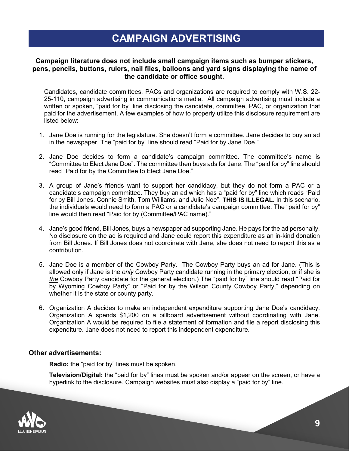## **CAMPAIGN ADVERTISING**

#### **Campaign literature does not include small campaign items such as bumper stickers, pens, pencils, buttons, rulers, nail files, balloons and yard signs displaying the name of the candidate or office sought.**

Candidates, candidate committees, PACs and organizations are required to comply with W.S. 22- 25-110, campaign advertising in communications media. All campaign advertising must include a written or spoken, "paid for by" line disclosing the candidate, committee, PAC, or organization that paid for the advertisement. A few examples of how to properly utilize this disclosure requirement are listed below:

- 1. Jane Doe is running for the legislature. She doesn't form a committee. Jane decides to buy an ad in the newspaper. The "paid for by" line should read "Paid for by Jane Doe."
- 2. Jane Doe decides to form a candidate's campaign committee. The committee's name is "Committee to Elect Jane Doe". The committee then buys ads for Jane. The "paid for by" line should read "Paid for by the Committee to Elect Jane Doe."
- 3. A group of Jane's friends want to support her candidacy, but they do not form a PAC or a candidate's campaign committee. They buy an ad which has a "paid for by" line which reads "Paid for by Bill Jones, Connie Smith, Tom Williams, and Julie Noe". **THIS IS ILLEGAL.** In this scenario, the individuals would need to form a PAC or a candidate's campaign committee. The "paid for by" line would then read "Paid for by (Committee/PAC name)."
- 4. Jane's good friend, Bill Jones, buys a newspaper ad supporting Jane. He pays for the ad personally. No disclosure on the ad is required and Jane could report this expenditure as an in-kind donation from Bill Jones. If Bill Jones does not coordinate with Jane, she does not need to report this as a contribution.
- 5. Jane Doe is a member of the Cowboy Party. The Cowboy Party buys an ad for Jane. (This is allowed only if Jane is the *only* Cowboy Party candidate running in the primary election, or if she is *the* Cowboy Party candidate for the general election.) The "paid for by" line should read "Paid for by Wyoming Cowboy Party" or "Paid for by the Wilson County Cowboy Party," depending on whether it is the state or county party.
- 6. Organization A decides to make an independent expenditure supporting Jane Doe's candidacy. Organization A spends \$1,200 on a billboard advertisement without coordinating with Jane. Organization A would be required to file a statement of formation and file a report disclosing this expenditure. Jane does not need to report this independent expenditure.

#### **Other advertisements:**

**Radio:** the "paid for by" lines must be spoken.

**Television/Digital:** the "paid for by" lines must be spoken and/or appear on the screen, or have a hyperlink to the disclosure. Campaign websites must also display a "paid for by" line.

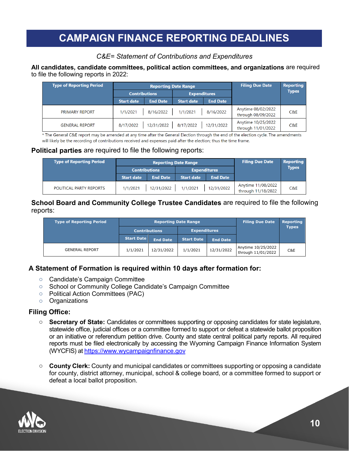## **CAMPAIGN FINANCE REPORTING DEADLINES**

## *C&E= Statement of Contributions and Expenditures*

#### **All candidates, candidate committees, political action committees, and organizations** are required to file the following reports in 2022:

| <b>Type of Reporting Period</b> | <b>Reporting Date Range</b> |                 |                     | <b>Filing Due Date</b> | <b>Reporting</b>                         |              |
|---------------------------------|-----------------------------|-----------------|---------------------|------------------------|------------------------------------------|--------------|
|                                 | <b>Contributions</b>        |                 | <b>Expenditures</b> |                        |                                          | <b>Types</b> |
|                                 | <b>Start date</b>           | <b>End Date</b> | <b>Start date</b>   | <b>End Date</b>        |                                          |              |
| <b>PRIMARY REPORT</b>           | 1/1/2021                    | 8/16/2022       | 1/1/2021            | 8/16/2022              | Anytime 08/02/2022<br>through 08/09/2022 | C&E          |
| <b>GENERAL REPORT</b>           | 8/17/2022                   | 12/31/2022      | 8/17/2022           | 12/31/2022             | Anytime 10/25/2022<br>through 11/01/2022 | C&E          |

The General C&E report may be amended at any time after the General Election through the end of the election cycle. The amendments will likely be the recording of contributions received and expenses paid after the election; thus the time frame.

## **Political parties** are required to file the following reports:

| Type of Reporting Period | <b>Reporting Date Range</b><br><b>Contributions</b><br><b>Expenditures</b> |                 |                   | <b>Filing Due Date</b> | <b>Reporting</b><br><b>Types</b>         |     |
|--------------------------|----------------------------------------------------------------------------|-----------------|-------------------|------------------------|------------------------------------------|-----|
|                          | <b>Start date</b>                                                          | <b>End Date</b> | <b>Start date</b> | <b>End Date</b>        |                                          |     |
| POLITICAL PARTY REPORTS  | 1/1/2021                                                                   | 12/31/2022      | 1/1/2021          | 12/31/2022             | Anytime 11/08/2022<br>through 11/18/2022 | C&E |

#### **School Board and Community College Trustee Candidates** are required to file the following reports: **Reporting Date Range**

| <b>Type of Reporting Period</b> | <b>Reporting Date Range</b> |                 |                     |                 | <b>Filing Due Date</b>                   | <b>Reporting</b> |
|---------------------------------|-----------------------------|-----------------|---------------------|-----------------|------------------------------------------|------------------|
|                                 | <b>Contributions</b>        |                 | <b>Expenditures</b> |                 |                                          | <b>Types</b>     |
|                                 | <b>Start Date</b>           | <b>End Date</b> | <b>Start Date</b>   | <b>End Date</b> |                                          |                  |
| <b>GENERAL REPORT</b>           | 1/1/2021                    | 12/31/2022      | 1/1/2021            | 12/31/2022      | Anytime 10/25/2022<br>through 11/01/2022 | C&E              |

## **A Statement of Formation is required within 10 days after formation for:**

- o Candidate's Campaign Committee
- o School or Community College Candidate's Campaign Committee
- o Political Action Committees (PAC)
- o Organizations

## **Filing Office:**

- o **Secretary of State:** Candidates or committees supporting or opposing candidates for state legislature, statewide office, judicial offices or a committee formed to support or defeat a statewide ballot proposition or an initiative or referendum petition drive. County and state central political party reports. All required reports must be filed electronically by accessing the Wyoming Campaign Finance Information System (WYCFIS) at [https://www.wycampaignfinance.gov](https://www.wycampaignfinance.gov/)
- o **County Clerk:** County and municipal candidates or committees supporting or opposing a candidate for county, district attorney, municipal, school & college board, or a committee formed to support or defeat a local ballot proposition.

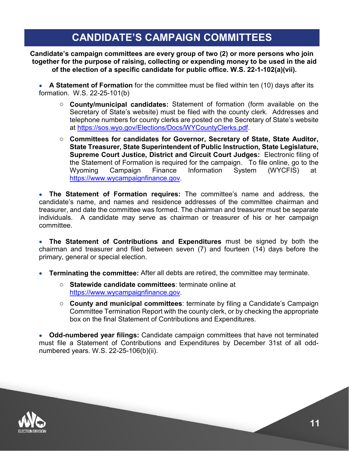## **CANDIDATE'S CAMPAIGN COMMITTEES**

**Candidate's campaign committees are every group of two (2) or more persons who join together for the purpose of raising, collecting or expending money to be used in the aid of the election of a specific candidate for public office. W.S. 22-1-102(a)(vii).**

• **A Statement of Formation** for the committee must be filed within ten (10) days after its formation. W.S. 22-25-101(b)

- o **County/municipal candidates:** Statement of formation (form available on the Secretary of State's website) must be filed with the county clerk. Addresses and telephone numbers for county clerks are posted on the Secretary of State's website at [https://sos.wyo.gov/Elections/Docs/WYCountyClerks.pdf.](https://sos.wyo.gov/Elections/Docs/WYCountyClerks.pdf)
- o **Committees for candidates for Governor, Secretary of State, State Auditor, State Treasurer, State Superintendent of Public Instruction, State Legislature, Supreme Court Justice, District and Circuit Court Judges:** Electronic filing of the Statement of Formation is required for the campaign. To file online, go to the Wyoming Campaign Finance Information System (WYCFIS) at[https://www.wycampaignfinance.gov.](https://www.wycampaignfinance.gov/)

• **The Statement of Formation requires:** The committee's name and address, the candidate's name, and names and residence addresses of the committee chairman and treasurer, and date the committee was formed. The chairman and treasurer must be separate individuals. A candidate may serve as chairman or treasurer of his or her campaign committee.

• **The Statement of Contributions and Expenditures** must be signed by both the chairman and treasurer and filed between seven (7) and fourteen (14) days before the primary, general or special election.

- **Terminating the committee:** After all debts are retired, the committee may terminate.
	- o **Statewide candidate committees**: terminate online at [https://www.wycampaignfinance.gov.](https://www.wycampaignfinance.gov/)
	- o **County and municipal committees**: terminate by filing a Candidate's Campaign Committee Termination Report with the county clerk, or by checking the appropriate box on the final Statement of Contributions and Expenditures.

• **Odd-numbered year filings:** Candidate campaign committees that have not terminated must file a Statement of Contributions and Expenditures by December 31st of all oddnumbered years. W.S. 22-25-106(b)(ii).

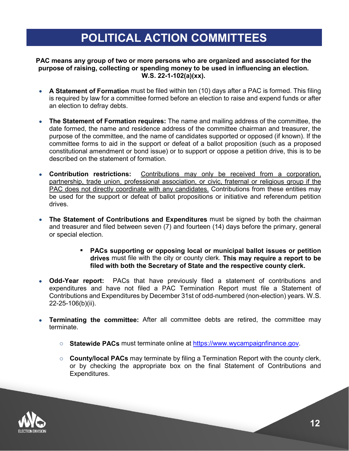# **POLITICAL ACTION COMMITTEES**

#### **PAC means any group of two or more persons who are organized and associated for the purpose of raising, collecting or spending money to be used in influencing an election. W.S. 22-1-102(a)(xx).**

- **A Statement of Formation** must be filed within ten (10) days after a PAC is formed. This filing is required by law for a committee formed before an election to raise and expend funds or after an election to defray debts.
- **The Statement of Formation requires:** The name and mailing address of the committee, the date formed, the name and residence address of the committee chairman and treasurer, the purpose of the committee, and the name of candidates supported or opposed (if known). If the committee forms to aid in the support or defeat of a ballot proposition (such as a proposed constitutional amendment or bond issue) or to support or oppose a petition drive, this is to be described on the statement of formation.
- **Contribution restrictions:** Contributions may only be received from a corporation, partnership, trade union, professional association, or civic, fraternal or religious group if the PAC does not directly coordinate with any candidates. Contributions from these entities may be used for the support or defeat of ballot propositions or initiative and referendum petition drives.
- **The Statement of Contributions and Expenditures** must be signed by both the chairman and treasurer and filed between seven (7) and fourteen (14) days before the primary, general or special election.
	- **PACs supporting or opposing local or municipal ballot issues or petition drives** must file with the city or county clerk. **This may require a report to be filed with both the Secretary of State and the respective county clerk.**
- **Odd-Year report:** PACs that have previously filed a statement of contributions and expenditures and have not filed a PAC Termination Report must file a Statement of Contributions and Expenditures by December 31st of odd-numbered (non-election) years. W.S. 22-25-106(b)(ii).
- **Terminating the committee:** After all committee debts are retired, the committee may terminate.
	- o **Statewide PACs** must terminate online at [https://www.wycampaignfinance.gov.](https://www.wycampaignfinance.gov/)
	- o **County/local PACs** may terminate by filing a Termination Report with the county clerk, or by checking the appropriate box on the final Statement of Contributions and Expenditures.

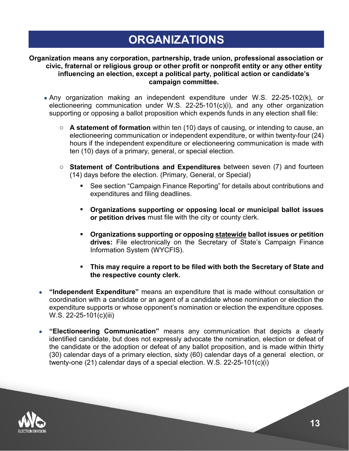# **ORGANIZATIONS**

#### **Organization means any corporation, partnership, trade union, professional association or civic, fraternal or religious group or other profit or nonprofit entity or any other entity influencing an election, except a political party, political action or candidate's campaign committee.**

- Any organization making an independent expenditure under W.S. 22-25-102(k), or electioneering communication under W.S. 22-25-101(c)(i), and any other organization supporting or opposing a ballot proposition which expends funds in any election shall file:
	- o **A statement of formation** within ten (10) days of causing, or intending to cause, an electioneering communication or independent expenditure, or within twenty-four (24) hours if the independent expenditure or electioneering communication is made with ten (10) days of a primary, general, or special election.
	- o **Statement of Contributions and Expenditures** between seven (7) and fourteen (14) days before the election. (Primary, General, or Special)
		- See section "Campaign Finance Reporting" for details about contributions and expenditures and filing deadlines.
		- **Organizations supporting or opposing local or municipal ballot issues or petition drives** must file with the city or county clerk.
		- **Organizations supporting or opposing statewide ballot issues or petition drives:** File electronically on the Secretary of State's Campaign Finance Information System (WYCFIS).
		- **This may require a report to be filed with both the Secretary of State and the respective county clerk.**
- **"Independent Expenditure"** means an expenditure that is made without consultation or coordination with a candidate or an agent of a candidate whose nomination or election the expenditure supports or whose opponent's nomination or election the expenditure opposes. W.S. 22-25-101(c)(iii)
- **"Electioneering Communication"** means any communication that depicts a clearly identified candidate, but does not expressly advocate the nomination, election or defeat of the candidate or the adoption or defeat of any ballot proposition, and is made within thirty (30) calendar days of a primary election, sixty (60) calendar days of a general election, or twenty-one (21) calendar days of a special election. W.S. 22-25-101(c)(i)

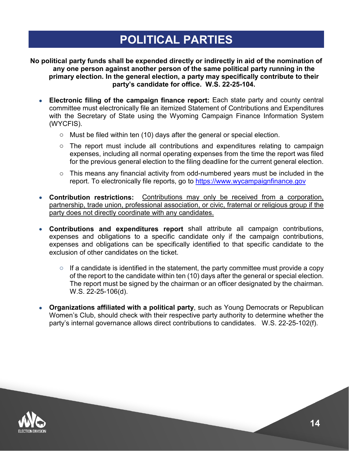# **POLITICAL PARTIES**

**No political party funds shall be expended directly or indirectly in aid of the nomination of any one person against another person of the same political party running in the primary election. In the general election, a party may specifically contribute to their party's candidate for office. W.S. 22-25-104.**

- **Electronic filing of the campaign finance report:** Each state party and county central committee must electronically file an itemized Statement of Contributions and Expenditures with the Secretary of State using the Wyoming Campaign Finance Information System (WYCFIS).
	- o Must be filed within ten (10) days after the general or special election.
	- o The report must include all contributions and expenditures relating to campaign expenses, including all normal operating expenses from the time the report was filed for the previous general election to the filing deadline for the current general election.
	- o This means any financial activity from odd-numbered years must be included in the report. To electronically file reports, go to [https://www.wycampaignfinance.gov](https://www.wycampaignfinance.gov/)
- **Contribution restrictions:** Contributions may only be received from a corporation, partnership, trade union, professional association, or civic, fraternal or religious group if the party does not directly coordinate with any candidates.
- **Contributions and expenditures report** shall attribute all campaign contributions, expenses and obligations to a specific candidate only if the campaign contributions, expenses and obligations can be specifically identified to that specific candidate to the exclusion of other candidates on the ticket.
	- $\circ$  If a candidate is identified in the statement, the party committee must provide a copy of the report to the candidate within ten (10) days after the general or special election. The report must be signed by the chairman or an officer designated by the chairman. W.S. 22-25-106(d).
- **Organizations affiliated with a political party**, such as Young Democrats or Republican Women's Club, should check with their respective party authority to determine whether the party's internal governance allows direct contributions to candidates. W.S. 22-25-102(f).

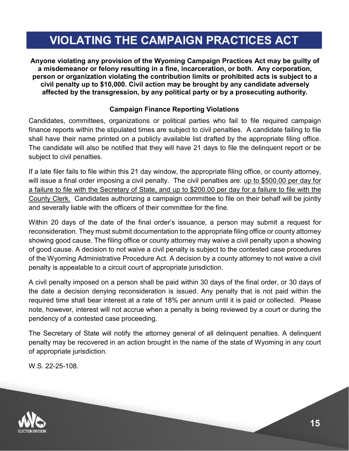# **VIOLATING THE CAMPAIGN PRACTICES ACT**

**Anyone violating any provision of the Wyoming Campaign Practices Act may be guilty of a misdemeanor or felony resulting in a fine, incarceration, or both. Any corporation, person or organization violating the contribution limits or prohibited acts is subject to a civil penalty up to \$10,000. Civil action may be brought by any candidate adversely affected by the transgression, by any political party or by a prosecuting authority.**

## **Campaign Finance Reporting Violations**

Candidates, committees, organizations or political parties who fail to file required campaign finance reports within the stipulated times are subject to civil penalties. A candidate failing to file shall have their name printed on a publicly available list drafted by the appropriate filing office. The candidate will also be notified that they will have 21 days to file the delinquent report or be subject to civil penalties.

If a late filer fails to file within this 21 day window, the appropriate filing office, or county attorney, will issue a final order imposing a civil penalty. The civil penalties are: up to \$500.00 per day for a failure to file with the Secretary of State, and up to \$200.00 per day for a failure to file with the County Clerk. Candidates authorizing a campaign committee to file on their behalf will be jointly and severally liable with the officers of their committee for the fine.

Within 20 days of the date of the final order's issuance, a person may submit a request for reconsideration. They must submit documentation to the appropriate filing office or county attorney showing good cause. The filing office or county attorney may waive a civil penalty upon a showing of good cause. A decision to not waive a civil penalty is subject to the contested case procedures of the Wyoming Administrative Procedure Act. A decision by a county attorney to not waive a civil penalty is appealable to a circuit court of appropriate jurisdiction.

A civil penalty imposed on a person shall be paid within 30 days of the final order, or 30 days of the date a decision denying reconsideration is issued. Any penalty that is not paid within the required time shall bear interest at a rate of 18% per annum until it is paid or collected. Please note, however, interest will not accrue when a penalty is being reviewed by a court or during the pendency of a contested case proceeding.

The Secretary of State will notify the attorney general of all delinquent penalties. A delinquent penalty may be recovered in an action brought in the name of the state of Wyoming in any court of appropriate jurisdiction.

W.S. 22-25-108.

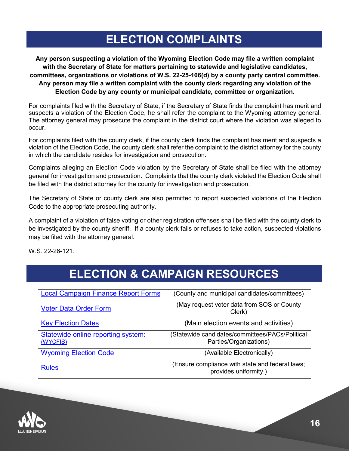# **ELECTION COMPLAINTS**

**Any person suspecting a violation of the Wyoming Election Code may file a written complaint with the Secretary of State for matters pertaining to statewide and legislative candidates, committees, organizations or violations of W.S. 22-25-106(d) by a county party central committee. Any person may file a written complaint with the county clerk regarding any violation of the Election Code by any county or municipal candidate, committee or organization.** 

For complaints filed with the Secretary of State, if the Secretary of State finds the complaint has merit and suspects a violation of the Election Code, he shall refer the complaint to the Wyoming attorney general. The attorney general may prosecute the complaint in the district court where the violation was alleged to occur.

For complaints filed with the county clerk, if the county clerk finds the complaint has merit and suspects a violation of the Election Code, the county clerk shall refer the complaint to the district attorney for the county in which the candidate resides for investigation and prosecution.

Complaints alleging an Election Code violation by the Secretary of State shall be filed with the attorney general for investigation and prosecution. Complaints that the county clerk violated the Election Code shall be filed with the district attorney for the county for investigation and prosecution.

The Secretary of State or county clerk are also permitted to report suspected violations of the Election Code to the appropriate prosecuting authority.

A complaint of a violation of false voting or other registration offenses shall be filed with the county clerk to be investigated by the county sheriff. If a county clerk fails or refuses to take action, suspected violations may be filed with the attorney general.

W.S. 22-26-121.

# **ELECTION & CAMPAIGN RESOURCES**

| <b>Local Campaign Finance Report Forms</b>            | (County and municipal candidates/committees)                             |
|-------------------------------------------------------|--------------------------------------------------------------------------|
| <b>Voter Data Order Form</b>                          | (May request voter data from SOS or County<br>Clerk)                     |
| <b>Key Election Dates</b>                             | (Main election events and activities)                                    |
| <b>Statewide online reporting system:</b><br>(WYCFIS) | Statewide candidates/committees/PACs/Political<br>Parties/Organizations) |
| <b>Wyoming Election Code</b>                          | (Available Electronically)                                               |
| <b>Rules</b>                                          | (Ensure compliance with state and federal laws;<br>provides uniformity.) |

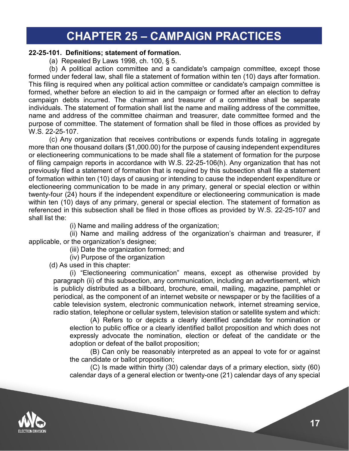## **CHAPTER 25 – CAMPAIGN PRACTICES**

#### **22-25-101. Definitions; statement of formation.**

(a) Repealed By Laws 1998, ch. 100, § 5.

(b) A political action committee and a candidate's campaign committee, except those formed under federal law, shall file a statement of formation within ten (10) days after formation. This filing is required when any political action committee or candidate's campaign committee is formed, whether before an election to aid in the campaign or formed after an election to defray campaign debts incurred. The chairman and treasurer of a committee shall be separate individuals. The statement of formation shall list the name and mailing address of the committee, name and address of the committee chairman and treasurer, date committee formed and the purpose of committee. The statement of formation shall be filed in those offices as provided by W.S. 22-25-107.

(c) Any organization that receives contributions or expends funds totaling in aggregate more than one thousand dollars (\$1,000.00) for the purpose of causing independent expenditures or electioneering communications to be made shall file a statement of formation for the purpose of filing campaign reports in accordance with W.S. 22-25-106(h). Any organization that has not previously filed a statement of formation that is required by this subsection shall file a statement of formation within ten (10) days of causing or intending to cause the independent expenditure or electioneering communication to be made in any primary, general or special election or within twenty-four (24) hours if the independent expenditure or electioneering communication is made within ten (10) days of any primary, general or special election. The statement of formation as referenced in this subsection shall be filed in those offices as provided by W.S. 22-25-107 and shall list the:

(i) Name and mailing address of the organization;

(ii) Name and mailing address of the organization's chairman and treasurer, if applicable, or the organization's designee;

(iii) Date the organization formed; and

(iv) Purpose of the organization

(d) As used in this chapter:

(i) "Electioneering communication" means, except as otherwise provided by paragraph (ii) of this subsection, any communication, including an advertisement, which is publicly distributed as a billboard, brochure, email, mailing, magazine, pamphlet or periodical, as the component of an internet website or newspaper or by the facilities of a cable television system, electronic communication network, internet streaming service, radio station, telephone or cellular system, television station or satellite system and which:

(A) Refers to or depicts a clearly identified candidate for nomination or election to public office or a clearly identified ballot proposition and which does not expressly advocate the nomination, election or defeat of the candidate or the adoption or defeat of the ballot proposition;

(B) Can only be reasonably interpreted as an appeal to vote for or against the candidate or ballot proposition;

(C) Is made within thirty (30) calendar days of a primary election, sixty (60) calendar days of a general election or twenty-one (21) calendar days of any special

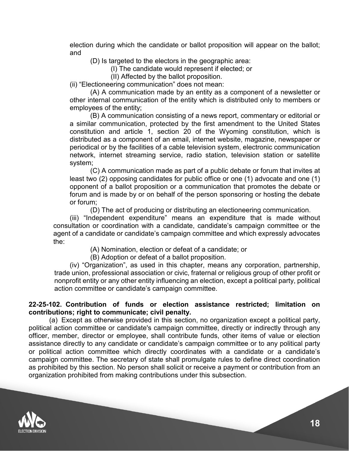election during which the candidate or ballot proposition will appear on the ballot; and

(D) Is targeted to the electors in the geographic area:

(I) The candidate would represent if elected; or

(II) Affected by the ballot proposition.

(ii) "Electioneering communication" does not mean:

(A) A communication made by an entity as a component of a newsletter or other internal communication of the entity which is distributed only to members or employees of the entity;

(B) A communication consisting of a news report, commentary or editorial or a similar communication, protected by the first amendment to the United States constitution and article 1, section 20 of the Wyoming constitution, which is distributed as a component of an email, internet website, magazine, newspaper or periodical or by the facilities of a cable television system, electronic communication network, internet streaming service, radio station, television station or satellite system;

(C) A communication made as part of a public debate or forum that invites at least two (2) opposing candidates for public office or one (1) advocate and one (1) opponent of a ballot proposition or a communication that promotes the debate or forum and is made by or on behalf of the person sponsoring or hosting the debate or forum;

(D) The act of producing or distributing an electioneering communication.

(iii) "Independent expenditure" means an expenditure that is made without consultation or coordination with a candidate, candidate's campaign committee or the agent of a candidate or candidate's campaign committee and which expressly advocates the:

(A) Nomination, election or defeat of a candidate; or

(B) Adoption or defeat of a ballot proposition.

(iv) "Organization", as used in this chapter, means any corporation, partnership, trade union, professional association or civic, fraternal or religious group of other profit or nonprofit entity or any other entity influencing an election, except a political party, political action committee or candidate's campaign committee.

## **22-25-102. Contribution of funds or election assistance restricted; limitation on contributions; right to communicate; civil penalty.**

(a) Except as otherwise provided in this section, no organization except a political party, political action committee or candidate's campaign committee, directly or indirectly through any officer, member, director or employee, shall contribute funds, other items of value or election assistance directly to any candidate or candidate's campaign committee or to any political party or political action committee which directly coordinates with a candidate or a candidate's campaign committee. The secretary of state shall promulgate rules to define direct coordination as prohibited by this section. No person shall solicit or receive a payment or contribution from an organization prohibited from making contributions under this subsection.

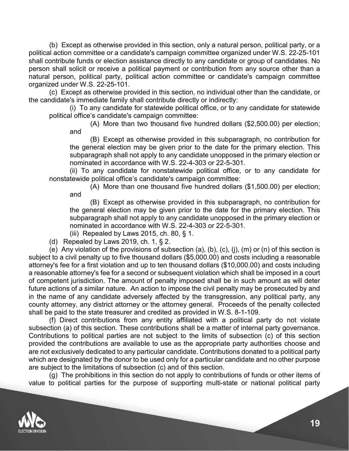(b) Except as otherwise provided in this section, only a natural person, political party, or a political action committee or a candidate's campaign committee organized under W.S. 22-25-101 shall contribute funds or election assistance directly to any candidate or group of candidates. No person shall solicit or receive a political payment or contribution from any source other than a natural person, political party, political action committee or candidate's campaign committee organized under W.S. 22-25-101.

(c) Except as otherwise provided in this section, no individual other than the candidate, or the candidate's immediate family shall contribute directly or indirectly:

(i) To any candidate for statewide political office, or to any candidate for statewide political office's candidate's campaign committee:

(A) More than two thousand five hundred dollars (\$2,500.00) per election; and

(B) Except as otherwise provided in this subparagraph, no contribution for the general election may be given prior to the date for the primary election. This subparagraph shall not apply to any candidate unopposed in the primary election or nominated in accordance with W.S. 22-4-303 or 22-5-301.

(ii) To any candidate for nonstatewide political office, or to any candidate for nonstatewide political office's candidate's campaign committee:

(A) More than one thousand five hundred dollars (\$1,500.00) per election; and

(B) Except as otherwise provided in this subparagraph, no contribution for the general election may be given prior to the date for the primary election. This subparagraph shall not apply to any candidate unopposed in the primary election or nominated in accordance with W.S. 22-4-303 or 22-5-301.

(iii) Repealed by Laws 2015, ch. 80,  $\S$  1.

(d) Repealed by Laws 2019, ch. 1, § 2.

(e) Any violation of the provisions of subsection (a), (b), (c), (j), (m) or (n) of this section is subject to a civil penalty up to five thousand dollars (\$5,000.00) and costs including a reasonable attorney's fee for a first violation and up to ten thousand dollars (\$10,000.00) and costs including a reasonable attorney's fee for a second or subsequent violation which shall be imposed in a court of competent jurisdiction. The amount of penalty imposed shall be in such amount as will deter future actions of a similar nature. An action to impose the civil penalty may be prosecuted by and in the name of any candidate adversely affected by the transgression, any political party, any county attorney, any district attorney or the attorney general. Proceeds of the penalty collected shall be paid to the state treasurer and credited as provided in W.S. 8-1-109.

(f) Direct contributions from any entity affiliated with a political party do not violate subsection (a) of this section. These contributions shall be a matter of internal party governance. Contributions to political parties are not subject to the limits of subsection (c) of this section provided the contributions are available to use as the appropriate party authorities choose and are not exclusively dedicated to any particular candidate. Contributions donated to a political party which are designated by the donor to be used only for a particular candidate and no other purpose are subject to the limitations of subsection (c) and of this section.

(g) The prohibitions in this section do not apply to contributions of funds or other items of value to political parties for the purpose of supporting multi-state or national political party

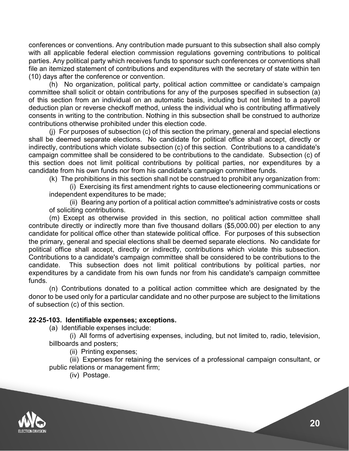conferences or conventions. Any contribution made pursuant to this subsection shall also comply with all applicable federal election commission regulations governing contributions to political parties. Any political party which receives funds to sponsor such conferences or conventions shall file an itemized statement of contributions and expenditures with the secretary of state within ten (10) days after the conference or convention.

(h) No organization, political party, political action committee or candidate's campaign committee shall solicit or obtain contributions for any of the purposes specified in subsection (a) of this section from an individual on an automatic basis, including but not limited to a payroll deduction plan or reverse checkoff method, unless the individual who is contributing affirmatively consents in writing to the contribution. Nothing in this subsection shall be construed to authorize contributions otherwise prohibited under this election code.

(j) For purposes of subsection (c) of this section the primary, general and special elections shall be deemed separate elections. No candidate for political office shall accept, directly or indirectly, contributions which violate subsection (c) of this section. Contributions to a candidate's campaign committee shall be considered to be contributions to the candidate. Subsection (c) of this section does not limit political contributions by political parties, nor expenditures by a candidate from his own funds nor from his candidate's campaign committee funds.

(k) The prohibitions in this section shall not be construed to prohibit any organization from:

(i) Exercising its first amendment rights to cause electioneering communications or independent expenditures to be made;

(ii) Bearing any portion of a political action committee's administrative costs or costs of soliciting contributions.

(m) Except as otherwise provided in this section, no political action committee shall contribute directly or indirectly more than five thousand dollars (\$5,000.00) per election to any candidate for political office other than statewide political office. For purposes of this subsection the primary, general and special elections shall be deemed separate elections. No candidate for political office shall accept, directly or indirectly, contributions which violate this subsection. Contributions to a candidate's campaign committee shall be considered to be contributions to the candidate. This subsection does not limit political contributions by political parties, nor expenditures by a candidate from his own funds nor from his candidate's campaign committee funds.

(n) Contributions donated to a political action committee which are designated by the donor to be used only for a particular candidate and no other purpose are subject to the limitations of subsection (c) of this section.

## **22-25-103. Identifiable expenses; exceptions.**

(a) Identifiable expenses include:

(i) All forms of advertising expenses, including, but not limited to, radio, television, billboards and posters;

(ii) Printing expenses;

(iii) Expenses for retaining the services of a professional campaign consultant, or public relations or management firm;

(iv) Postage.

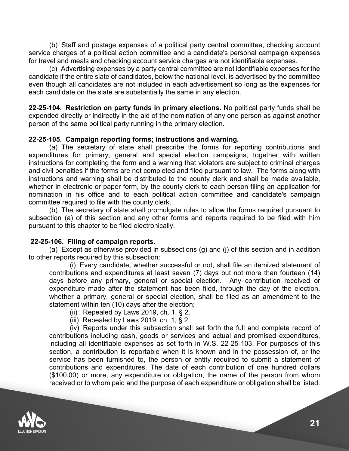(b) Staff and postage expenses of a political party central committee, checking account service charges of a political action committee and a candidate's personal campaign expenses for travel and meals and checking account service charges are not identifiable expenses.

(c) Advertising expenses by a party central committee are not identifiable expenses for the candidate if the entire slate of candidates, below the national level, is advertised by the committee even though all candidates are not included in each advertisement so long as the expenses for each candidate on the slate are substantially the same in any election.

**22-25-104. Restriction on party funds in primary elections.** No political party funds shall be expended directly or indirectly in the aid of the nomination of any one person as against another person of the same political party running in the primary election.

## **22-25-105. Campaign reporting forms; instructions and warning.**

(a) The secretary of state shall prescribe the forms for reporting contributions and expenditures for primary, general and special election campaigns, together with written instructions for completing the form and a warning that violators are subject to criminal charges and civil penalties if the forms are not completed and filed pursuant to law. The forms along with instructions and warning shall be distributed to the county clerk and shall be made available, whether in electronic or paper form, by the county clerk to each person filing an application for nomination in his office and to each political action committee and candidate's campaign committee required to file with the county clerk.

(b) The secretary of state shall promulgate rules to allow the forms required pursuant to subsection (a) of this section and any other forms and reports required to be filed with him pursuant to this chapter to be filed electronically.

## **22-25-106. Filing of campaign reports.**

(a) Except as otherwise provided in subsections (g) and (j) of this section and in addition to other reports required by this subsection:

(i) Every candidate, whether successful or not, shall file an itemized statement of contributions and expenditures at least seven (7) days but not more than fourteen (14) days before any primary, general or special election. Any contribution received or expenditure made after the statement has been filed, through the day of the election, whether a primary, general or special election, shall be filed as an amendment to the statement within ten (10) days after the election;

- (ii) Repealed by Laws 2019, ch. 1,  $\S$  2.
- (iii) Repealed by Laws 2019, ch. 1,  $\S$  2.

(iv) Reports under this subsection shall set forth the full and complete record of contributions including cash, goods or services and actual and promised expenditures, including all identifiable expenses as set forth in W.S. 22-25-103. For purposes of this section, a contribution is reportable when it is known and in the possession of, or the service has been furnished to, the person or entity required to submit a statement of contributions and expenditures. The date of each contribution of one hundred dollars (\$100.00) or more, any expenditure or obligation, the name of the person from whom received or to whom paid and the purpose of each expenditure or obligation shall be listed.

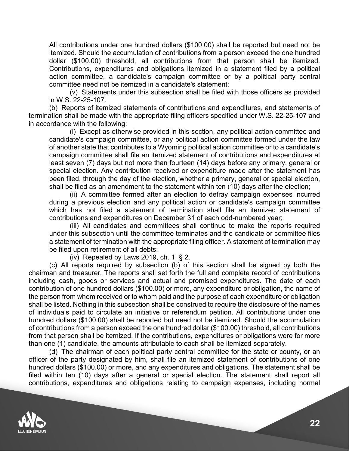All contributions under one hundred dollars (\$100.00) shall be reported but need not be itemized. Should the accumulation of contributions from a person exceed the one hundred dollar (\$100.00) threshold, all contributions from that person shall be itemized. Contributions, expenditures and obligations itemized in a statement filed by a political action committee, a candidate's campaign committee or by a political party central committee need not be itemized in a candidate's statement;

(v) Statements under this subsection shall be filed with those officers as provided in W.S. 22-25-107.

(b) Reports of itemized statements of contributions and expenditures, and statements of termination shall be made with the appropriate filing officers specified under W.S. 22-25-107 and in accordance with the following:

(i) Except as otherwise provided in this section, any political action committee and candidate's campaign committee, or any political action committee formed under the law of another state that contributes to a Wyoming political action committee or to a candidate's campaign committee shall file an itemized statement of contributions and expenditures at least seven (7) days but not more than fourteen (14) days before any primary, general or special election. Any contribution received or expenditure made after the statement has been filed, through the day of the election, whether a primary, general or special election, shall be filed as an amendment to the statement within ten (10) days after the election;

(ii) A committee formed after an election to defray campaign expenses incurred during a previous election and any political action or candidate's campaign committee which has not filed a statement of termination shall file an itemized statement of contributions and expenditures on December 31 of each odd-numbered year;

(iii) All candidates and committees shall continue to make the reports required under this subsection until the committee terminates and the candidate or committee files a statement of termination with the appropriate filing officer. A statement of termination may be filed upon retirement of all debts;

(iv) Repealed by Laws 2019, ch. 1, § 2.

(c) All reports required by subsection (b) of this section shall be signed by both the chairman and treasurer. The reports shall set forth the full and complete record of contributions including cash, goods or services and actual and promised expenditures. The date of each contribution of one hundred dollars (\$100.00) or more, any expenditure or obligation, the name of the person from whom received or to whom paid and the purpose of each expenditure or obligation shall be listed. Nothing in this subsection shall be construed to require the disclosure of the names of individuals paid to circulate an initiative or referendum petition. All contributions under one hundred dollars (\$100.00) shall be reported but need not be itemized. Should the accumulation of contributions from a person exceed the one hundred dollar (\$100.00) threshold, all contributions from that person shall be itemized. If the contributions, expenditures or obligations were for more than one (1) candidate, the amounts attributable to each shall be itemized separately.

(d) The chairman of each political party central committee for the state or county, or an officer of the party designated by him, shall file an itemized statement of contributions of one hundred dollars (\$100.00) or more, and any expenditures and obligations. The statement shall be filed within ten (10) days after a general or special election. The statement shall report all contributions, expenditures and obligations relating to campaign expenses, including normal

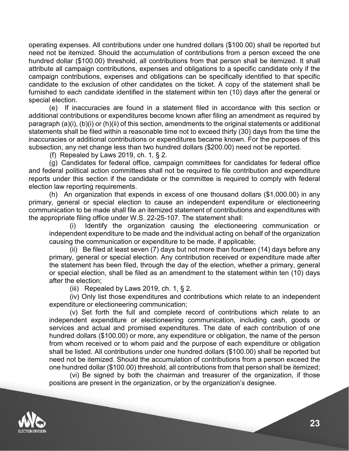operating expenses. All contributions under one hundred dollars (\$100.00) shall be reported but need not be itemized. Should the accumulation of contributions from a person exceed the one hundred dollar (\$100.00) threshold, all contributions from that person shall be itemized. It shall attribute all campaign contributions, expenses and obligations to a specific candidate only if the campaign contributions, expenses and obligations can be specifically identified to that specific candidate to the exclusion of other candidates on the ticket. A copy of the statement shall be furnished to each candidate identified in the statement within ten (10) days after the general or special election.

(e) If inaccuracies are found in a statement filed in accordance with this section or additional contributions or expenditures become known after filing an amendment as required by paragraph (a)(i), (b)(i) or (h)(ii) of this section, amendments to the original statements or additional statements shall be filed within a reasonable time not to exceed thirty (30) days from the time the inaccuracies or additional contributions or expenditures became known. For the purposes of this subsection, any net change less than two hundred dollars (\$200.00) need not be reported.

(f) Repealed by Laws 2019, ch. 1, § 2.

(g) Candidates for federal office, campaign committees for candidates for federal office and federal political action committees shall not be required to file contribution and expenditure reports under this section if the candidate or the committee is required to comply with federal election law reporting requirements.

(h) An organization that expends in excess of one thousand dollars (\$1,000.00) in any primary, general or special election to cause an independent expenditure or electioneering communication to be made shall file an itemized statement of contributions and expenditures with the appropriate filing office under W.S. 22-25-107. The statement shall:

(i) Identify the organization causing the electioneering communication or independent expenditure to be made and the individual acting on behalf of the organization causing the communication or expenditure to be made, if applicable;

 $(i)$  Be filed at least seven (7) days but not more than fourteen (14) days before any primary, general or special election. Any contribution received or expenditure made after the statement has been filed, through the day of the election, whether a primary, general or special election, shall be filed as an amendment to the statement within ten (10) days after the election;

(iii) Repealed by Laws 2019, ch. 1,  $\S$  2.

(iv) Only list those expenditures and contributions which relate to an independent expenditure or electioneering communication;

(v) Set forth the full and complete record of contributions which relate to an independent expenditure or electioneering communication, including cash, goods or services and actual and promised expenditures. The date of each contribution of one hundred dollars (\$100.00) or more, any expenditure or obligation, the name of the person from whom received or to whom paid and the purpose of each expenditure or obligation shall be listed. All contributions under one hundred dollars (\$100.00) shall be reported but need not be itemized. Should the accumulation of contributions from a person exceed the one hundred dollar (\$100.00) threshold, all contributions from that person shall be itemized;

(vi) Be signed by both the chairman and treasurer of the organization, if those positions are present in the organization, or by the organization's designee.

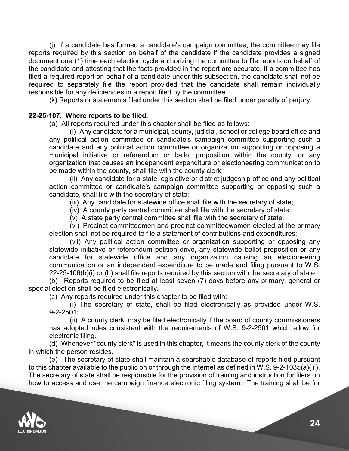(j) If a candidate has formed a candidate's campaign committee, the committee may file reports required by this section on behalf of the candidate if the candidate provides a signed document one (1) time each election cycle authorizing the committee to file reports on behalf of the candidate and attesting that the facts provided in the report are accurate. If a committee has filed a required report on behalf of a candidate under this subsection, the candidate shall not be required to separately file the report provided that the candidate shall remain individually responsible for any deficiencies in a report filed by the committee.

(k) Reports or statements filed under this section shall be filed under penalty of perjury.

## **22-25-107. Where reports to be filed.**

(a) All reports required under this chapter shall be filed as follows:

(i) Any candidate for a municipal, county, judicial, school or college board office and any political action committee or candidate's campaign committee supporting such a candidate and any political action committee or organization supporting or opposing a municipal initiative or referendum or ballot proposition within the county, or any organization that causes an independent expenditure or electioneering communication to be made within the county, shall file with the county clerk;

(ii) Any candidate for a state legislative or district judgeship office and any political action committee or candidate's campaign committee supporting or opposing such a candidate, shall file with the secretary of state;

(iii) Any candidate for statewide office shall file with the secretary of state;

(iv) A county party central committee shall file with the secretary of state;

(v) A state party central committee shall file with the secretary of state;

(vi) Precinct committeemen and precinct committeewomen elected at the primary election shall not be required to file a statement of contributions and expenditures;

(vii) Any political action committee or organization supporting or opposing any statewide initiative or referendum petition drive, any statewide ballot proposition or any candidate for statewide office and any organization causing an electioneering communication or an independent expenditure to be made and filing pursuant to W.S. 22-25-106(b)(i) or (h) shall file reports required by this section with the secretary of state.

(b) Reports required to be filed at least seven (7) days before any primary, general or special election shall be filed electronically.

(c) Any reports required under this chapter to be filed with:

(i) The secretary of state, shall be filed electronically as provided under W.S. 9-2-2501;

(ii) A county clerk, may be filed electronically if the board of county commissioners has adopted rules consistent with the requirements of W.S. 9-2-2501 which allow for electronic filing.

(d) Whenever "county clerk" is used in this chapter, it means the county clerk of the county in which the person resides.

(e) The secretary of state shall maintain a searchable database of reports filed pursuant to this chapter available to the public on or through the Internet as defined in W.S. 9-2-1035(a)(iii). The secretary of state shall be responsible for the provision of training and instruction for filers on how to access and use the campaign finance electronic filing system. The training shall be for

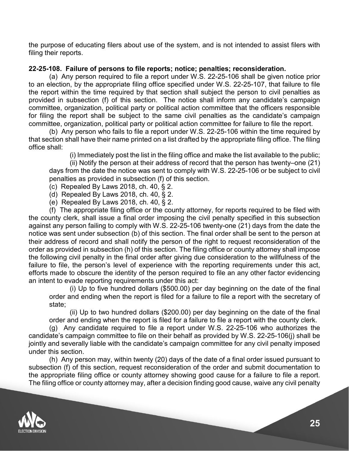the purpose of educating filers about use of the system, and is not intended to assist filers with filing their reports.

## **22-25-108. Failure of persons to file reports; notice; penalties; reconsideration.**

(a) Any person required to file a report under W.S. 22-25-106 shall be given notice prior to an election, by the appropriate filing office specified under W.S. 22-25-107, that failure to file the report within the time required by that section shall subject the person to civil penalties as provided in subsection (f) of this section. The notice shall inform any candidate's campaign committee, organization, political party or political action committee that the officers responsible for filing the report shall be subject to the same civil penalties as the candidate's campaign committee, organization, political party or political action committee for failure to file the report.

(b) Any person who fails to file a report under W.S. 22-25-106 within the time required by that section shall have their name printed on a list drafted by the appropriate filing office. The filing office shall:

(i) Immediately post the list in the filing office and make the list available to the public;

(ii) Notify the person at their address of record that the person has twenty–one (21) days from the date the notice was sent to comply with W.S. 22-25-106 or be subject to civil penalties as provided in subsection (f) of this section.

- (c) Repealed By Laws 2018, ch. 40, § 2.
- (d) Repealed By Laws 2018, ch. 40, § 2.
- (e) Repealed By Laws 2018, ch. 40, § 2.

(f) The appropriate filing office or the county attorney, for reports required to be filed with the county clerk, shall issue a final order imposing the civil penalty specified in this subsection against any person failing to comply with W.S. 22-25-106 twenty-one (21) days from the date the notice was sent under subsection (b) of this section. The final order shall be sent to the person at their address of record and shall notify the person of the right to request reconsideration of the order as provided in subsection (h) of this section. The filing office or county attorney shall impose the following civil penalty in the final order after giving due consideration to the willfulness of the failure to file, the person's level of experience with the reporting requirements under this act, efforts made to obscure the identity of the person required to file an any other factor evidencing an intent to evade reporting requirements under this act:

(i) Up to five hundred dollars (\$500.00) per day beginning on the date of the final order and ending when the report is filed for a failure to file a report with the secretary of state;

(ii) Up to two hundred dollars (\$200.00) per day beginning on the date of the final order and ending when the report is filed for a failure to file a report with the county clerk.

(g) Any candidate required to file a report under W.S. 22-25-106 who authorizes the candidate's campaign committee to file on their behalf as provided by W.S. 22-25-106(j) shall be jointly and severally liable with the candidate's campaign committee for any civil penalty imposed under this section.

(h) Any person may, within twenty (20) days of the date of a final order issued pursuant to subsection (f) of this section, request reconsideration of the order and submit documentation to the appropriate filing office or county attorney showing good cause for a failure to file a report. The filing office or county attorney may, after a decision finding good cause, waive any civil penalty

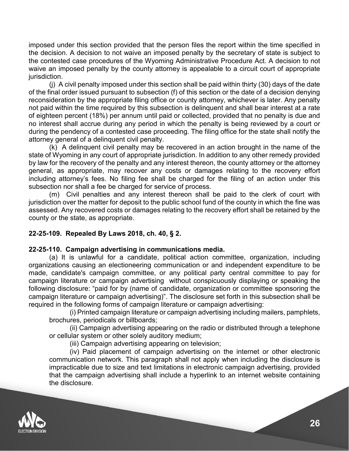imposed under this section provided that the person files the report within the time specified in the decision. A decision to not waive an imposed penalty by the secretary of state is subject to the contested case procedures of the Wyoming Administrative Procedure Act. A decision to not waive an imposed penalty by the county attorney is appealable to a circuit court of appropriate jurisdiction.

(j) A civil penalty imposed under this section shall be paid within thirty (30) days of the date of the final order issued pursuant to subsection (f) of this section or the date of a decision denying reconsideration by the appropriate filing office or county attorney, whichever is later. Any penalty not paid within the time required by this subsection is delinquent and shall bear interest at a rate of eighteen percent (18%) per annum until paid or collected, provided that no penalty is due and no interest shall accrue during any period in which the penalty is being reviewed by a court or during the pendency of a contested case proceeding. The filing office for the state shall notify the attorney general of a delinquent civil penalty.

(k) A delinquent civil penalty may be recovered in an action brought in the name of the state of Wyoming in any court of appropriate jurisdiction. In addition to any other remedy provided by law for the recovery of the penalty and any interest thereon, the county attorney or the attorney general, as appropriate, may recover any costs or damages relating to the recovery effort including attorney's fees. No filing fee shall be charged for the filing of an action under this subsection nor shall a fee be charged for service of process.

(m) Civil penalties and any interest thereon shall be paid to the clerk of court with jurisdiction over the matter for deposit to the public school fund of the county in which the fine was assessed. Any recovered costs or damages relating to the recovery effort shall be retained by the county or the state, as appropriate.

## **22-25-109. Repealed By Laws 2018, ch. 40, § 2.**

## **22-25-110. Campaign advertising in communications media.**

(a) It is unlawful for a candidate, political action committee, organization, including organizations causing an electioneering communication or and independent expenditure to be made, candidate's campaign committee, or any political party central committee to pay for campaign literature or campaign advertising without conspicuously displaying or speaking the following disclosure: "paid for by (name of candidate, organization or committee sponsoring the campaign literature or campaign advertising)". The disclosure set forth in this subsection shall be required in the following forms of campaign literature or campaign advertising:

(i) Printed campaign literature or campaign advertising including mailers, pamphlets, brochures, periodicals or billboards;

(ii) Campaign advertising appearing on the radio or distributed through a telephone or cellular system or other solely auditory medium;

(iii) Campaign advertising appearing on television;

(iv) Paid placement of campaign advertising on the internet or other electronic communication network. This paragraph shall not apply when including the disclosure is impracticable due to size and text limitations in electronic campaign advertising, provided that the campaign advertising shall include a hyperlink to an internet website containing the disclosure.